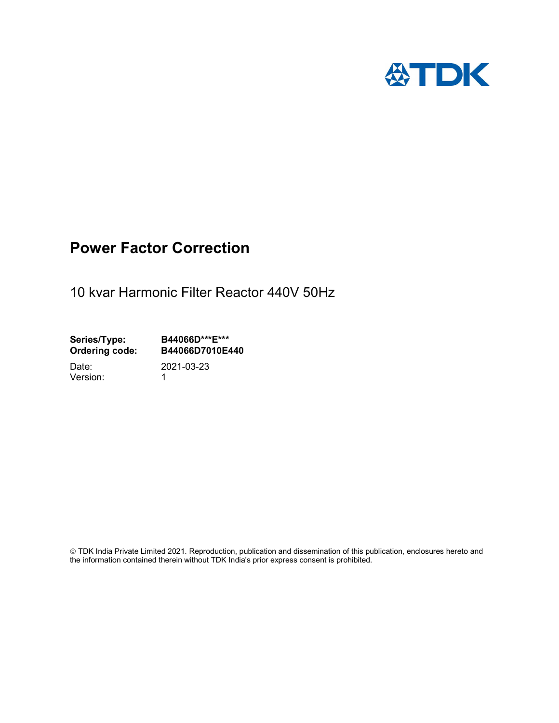

# Power Factor Correction

10 kvar Harmonic Filter Reactor 440V 50Hz

Series/Type: B44066D\*\*\*E\*\*\*<br>Ordering code: B44066D7010E4 B44066D7010E440

Version: 1

Date: 2021-03-23

 TDK India Private Limited 2021. Reproduction, publication and dissemination of this publication, enclosures hereto and the information contained therein without TDK India's prior express consent is prohibited.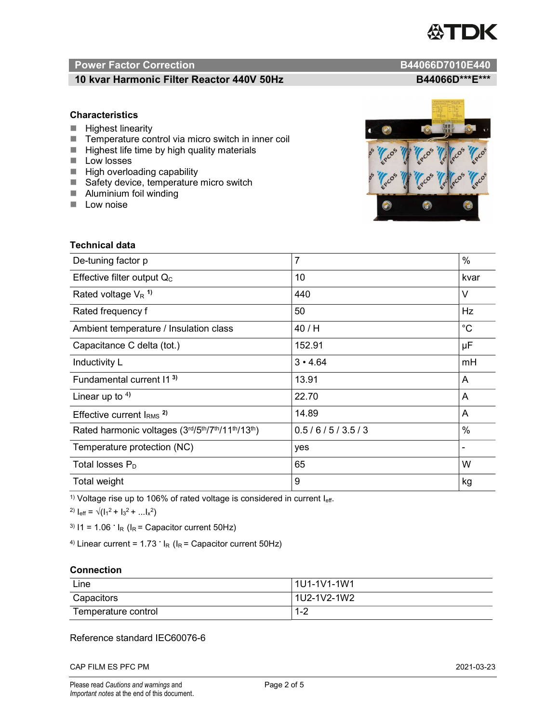

# Power Factor Correction and Content of Content of Content of Content of Content of Content of Content of Content of Content of Content of Content of Content of Content of Content of Content of Content of Content of Content

# 10 kvar Harmonic Filter Reactor 440V 50Hz B44066D\*\*\*E\*\*\*

### **Characteristics**

- $H$  Highest linearity
- Temperature control via micro switch in inner coil
- $\blacksquare$  Highest life time by high quality materials
- **Low losses**
- $\blacksquare$  High overloading capability
- Safety device, temperature micro switch
- **Aluminium foil winding**
- **Low noise**



| Technical data                                  |                |             |  |
|-------------------------------------------------|----------------|-------------|--|
| De-tuning factor p                              | $\overline{7}$ | $\%$        |  |
| Effective filter output $Q_C$                   | 10             | kvar        |  |
| Rated voltage $V_R$ <sup>1)</sup>               | 440            | V           |  |
| Rated frequency f                               | 50             | Hz          |  |
| Ambient temperature / Insulation class          | 40 / H         | $^{\circ}C$ |  |
| Capacitance C delta (tot.)                      | 152.91         | μF          |  |
| Inductivity L                                   | $3 \cdot 4.64$ | mH          |  |
| Fundamental current 11 <sup>3)</sup>            | 13.91          | A           |  |
| Linear up to $4$ )                              | 22.70          | A           |  |
| Effective current $IRMS$ <sup>2)</sup>          | 14.89          | A           |  |
| Rated harmonic voltages (3rd/5th/7th/11th/13th) | 0.5/6/5/3.5/3  | $\%$        |  |
| Temperature protection (NC)                     | yes            |             |  |
| Total losses $P_D$                              | 65             | W           |  |
| Total weight                                    | 9              | kg          |  |

<sup>1)</sup> Voltage rise up to 106% of rated voltage is considered in current  $I_{\text{eff}}$ .

<sup>2)</sup>  $I_{eff} = \sqrt{(I_1^2 + I_3^2 + ... I_x^2)}$ 

<sup>3)</sup>  $11 = 1.06$   $\cdot$   $I_R$  ( $I_R$  = Capacitor current 50Hz)

<sup>4)</sup> Linear current =  $1.73$   $\cdot$  I<sub>R</sub> (I<sub>R</sub> = Capacitor current 50Hz)

### **Connection**

| Line                | l 1U1-1V1-1W1 |
|---------------------|---------------|
| Capacitors          | l 1U2-1V2-1W2 |
| Temperature control | 1 O<br>ے- ا   |

# Reference standard IEC60076-6

CAP FILM ES PFC PM 2021-03-23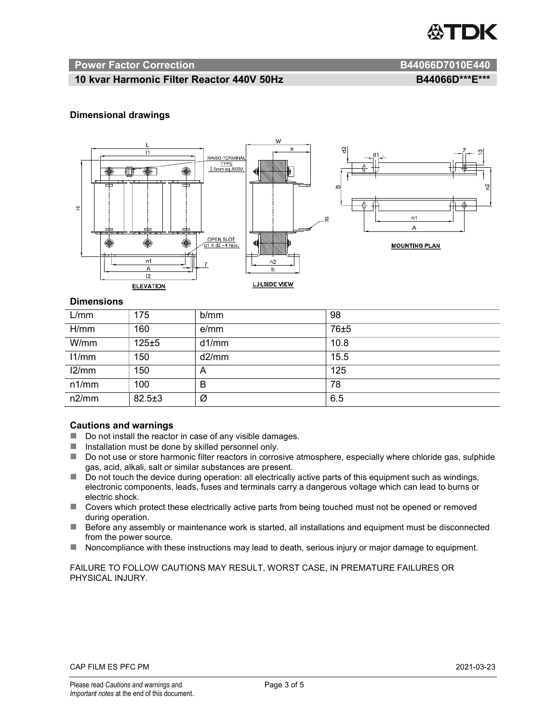

#### Power Factor Correction **B44066D7010E440**

# 10 kvar Harmonic Filter Reactor 440V 50Hz BA4066D\*\*\*E\*\*\*

### Dimensional drawings



#### **Dimensions**

| L/mm  | 175          | b/mm  | 98   |
|-------|--------------|-------|------|
| H/mm  | 160          | e/mm  | 76±5 |
| W/mm  | $125 + 5$    | d1/mm | 10.8 |
| 11/mm | 150          | d2/mm | 15.5 |
| 12/mm | 150          | A     | 125  |
| n1/mm | 100          | B     | 78   |
| n2/mm | $82.5 \pm 3$ | Ø     | 6.5  |

#### Cautions and warnings

- Do not install the reactor in case of any visible damages.
- $\blacksquare$  Installation must be done by skilled personnel only.
- Do not use or store harmonic filter reactors in corrosive atmosphere, especially where chloride gas, sulphide gas, acid, alkali, salt or similar substances are present.
- Do not touch the device during operation: all electrically active parts of this equipment such as windings, electronic components, leads, fuses and terminals carry a dangerous voltage which can lead to burns or electric shock.
- Covers which protect these electrically active parts from being touched must not be opened or removed during operation.
- Before any assembly or maintenance work is started, all installations and equipment must be disconnected from the power source.
- Noncompliance with these instructions may lead to death, serious injury or major damage to equipment.

FAILURE TO FOLLOW CAUTIONS MAY RESULT, WORST CASE, IN PREMATURE FAILURES OR PHYSICAL INJURY.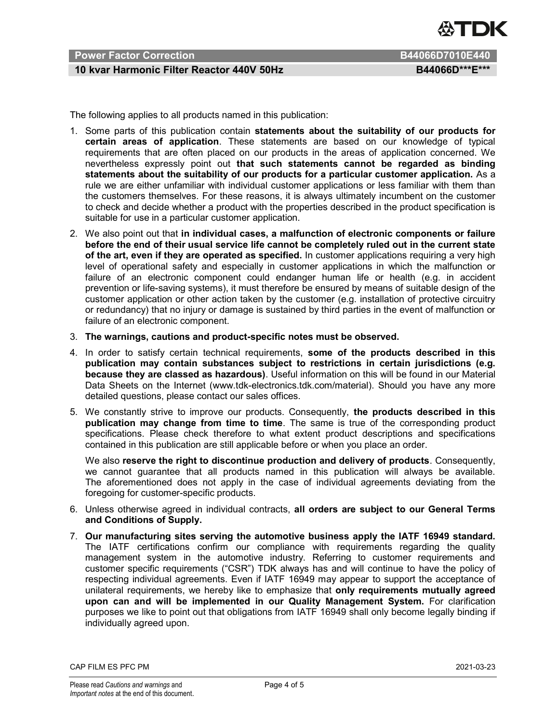

# Power Factor Correction **B44066D7010E440**

# 10 kvar Harmonic Filter Reactor 440V 50Hz BA4066D\*\*\*E\*\*\*

The following applies to all products named in this publication:

- 1. Some parts of this publication contain statements about the suitability of our products for certain areas of application. These statements are based on our knowledge of typical requirements that are often placed on our products in the areas of application concerned. We nevertheless expressly point out that such statements cannot be regarded as binding statements about the suitability of our products for a particular customer application. As a rule we are either unfamiliar with individual customer applications or less familiar with them than the customers themselves. For these reasons, it is always ultimately incumbent on the customer to check and decide whether a product with the properties described in the product specification is suitable for use in a particular customer application.
- 2. We also point out that in individual cases, a malfunction of electronic components or failure before the end of their usual service life cannot be completely ruled out in the current state of the art, even if they are operated as specified. In customer applications requiring a very high level of operational safety and especially in customer applications in which the malfunction or failure of an electronic component could endanger human life or health (e.g. in accident prevention or life-saving systems), it must therefore be ensured by means of suitable design of the customer application or other action taken by the customer (e.g. installation of protective circuitry or redundancy) that no injury or damage is sustained by third parties in the event of malfunction or failure of an electronic component.
- 3. The warnings, cautions and product-specific notes must be observed.
- 4. In order to satisfy certain technical requirements, some of the products described in this publication may contain substances subject to restrictions in certain jurisdictions (e.g. because they are classed as hazardous). Useful information on this will be found in our Material Data Sheets on the Internet (www.tdk-electronics.tdk.com/material). Should you have any more detailed questions, please contact our sales offices.
- 5. We constantly strive to improve our products. Consequently, the products described in this publication may change from time to time. The same is true of the corresponding product specifications. Please check therefore to what extent product descriptions and specifications contained in this publication are still applicable before or when you place an order.

We also reserve the right to discontinue production and delivery of products. Consequently, we cannot guarantee that all products named in this publication will always be available. The aforementioned does not apply in the case of individual agreements deviating from the foregoing for customer-specific products.

- 6. Unless otherwise agreed in individual contracts, all orders are subject to our General Terms and Conditions of Supply.
- 7. Our manufacturing sites serving the automotive business apply the IATF 16949 standard. The IATF certifications confirm our compliance with requirements regarding the quality management system in the automotive industry. Referring to customer requirements and customer specific requirements ("CSR") TDK always has and will continue to have the policy of respecting individual agreements. Even if IATF 16949 may appear to support the acceptance of unilateral requirements, we hereby like to emphasize that only requirements mutually agreed upon can and will be implemented in our Quality Management System. For clarification purposes we like to point out that obligations from IATF 16949 shall only become legally binding if individually agreed upon.